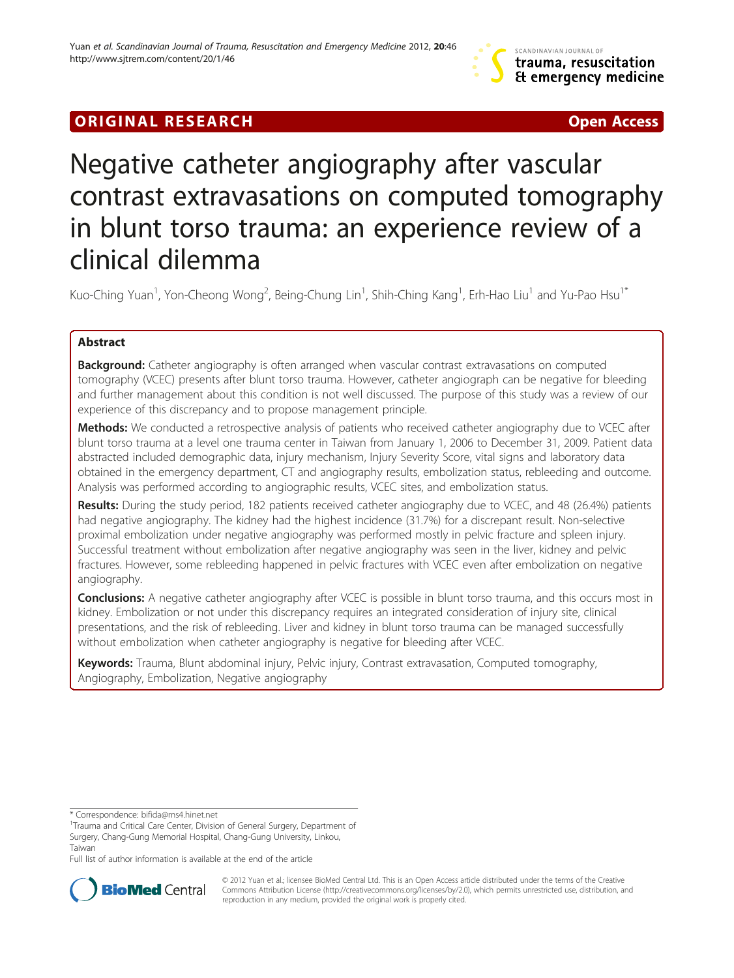# **ORIGINAL RESEARCH CHARGE ACCESS**

# Negative catheter angiography after vascular contrast extravasations on computed tomography in blunt torso trauma: an experience review of a clinical dilemma

Kuo-Ching Yuan<sup>1</sup>, Yon-Cheong Wong<sup>2</sup>, Being-Chung Lin<sup>1</sup>, Shih-Ching Kang<sup>1</sup>, Erh-Hao Liu<sup>1</sup> and Yu-Pao Hsu<sup>1\*</sup>

# Abstract

**Background:** Catheter angiography is often arranged when vascular contrast extravasations on computed tomography (VCEC) presents after blunt torso trauma. However, catheter angiograph can be negative for bleeding and further management about this condition is not well discussed. The purpose of this study was a review of our experience of this discrepancy and to propose management principle.

Methods: We conducted a retrospective analysis of patients who received catheter angiography due to VCEC after blunt torso trauma at a level one trauma center in Taiwan from January 1, 2006 to December 31, 2009. Patient data abstracted included demographic data, injury mechanism, Injury Severity Score, vital signs and laboratory data obtained in the emergency department, CT and angiography results, embolization status, rebleeding and outcome. Analysis was performed according to angiographic results, VCEC sites, and embolization status.

Results: During the study period, 182 patients received catheter angiography due to VCEC, and 48 (26.4%) patients had negative angiography. The kidney had the highest incidence (31.7%) for a discrepant result. Non-selective proximal embolization under negative angiography was performed mostly in pelvic fracture and spleen injury. Successful treatment without embolization after negative angiography was seen in the liver, kidney and pelvic fractures. However, some rebleeding happened in pelvic fractures with VCEC even after embolization on negative angiography.

**Conclusions:** A negative catheter angiography after VCEC is possible in blunt torso trauma, and this occurs most in kidney. Embolization or not under this discrepancy requires an integrated consideration of injury site, clinical presentations, and the risk of rebleeding. Liver and kidney in blunt torso trauma can be managed successfully without embolization when catheter angiography is negative for bleeding after VCEC.

Keywords: Trauma, Blunt abdominal injury, Pelvic injury, Contrast extravasation, Computed tomography, Angiography, Embolization, Negative angiography

\* Correspondence: [bifida@ms4.hinet.net](mailto:bifida@ms4.hinet.net) <sup>1</sup>

Full list of author information is available at the end of the article



© 2012 Yuan et al.; licensee BioMed Central Ltd. This is an Open Access article distributed under the terms of the Creative Commons Attribution License [\(http://creativecommons.org/licenses/by/2.0\)](http://creativecommons.org/licenses/by/2.0), which permits unrestricted use, distribution, and reproduction in any medium, provided the original work is properly cited.

<sup>&</sup>lt;sup>1</sup>Trauma and Critical Care Center, Division of General Surgery, Department of Surgery, Chang-Gung Memorial Hospital, Chang-Gung University, Linkou, Taiwan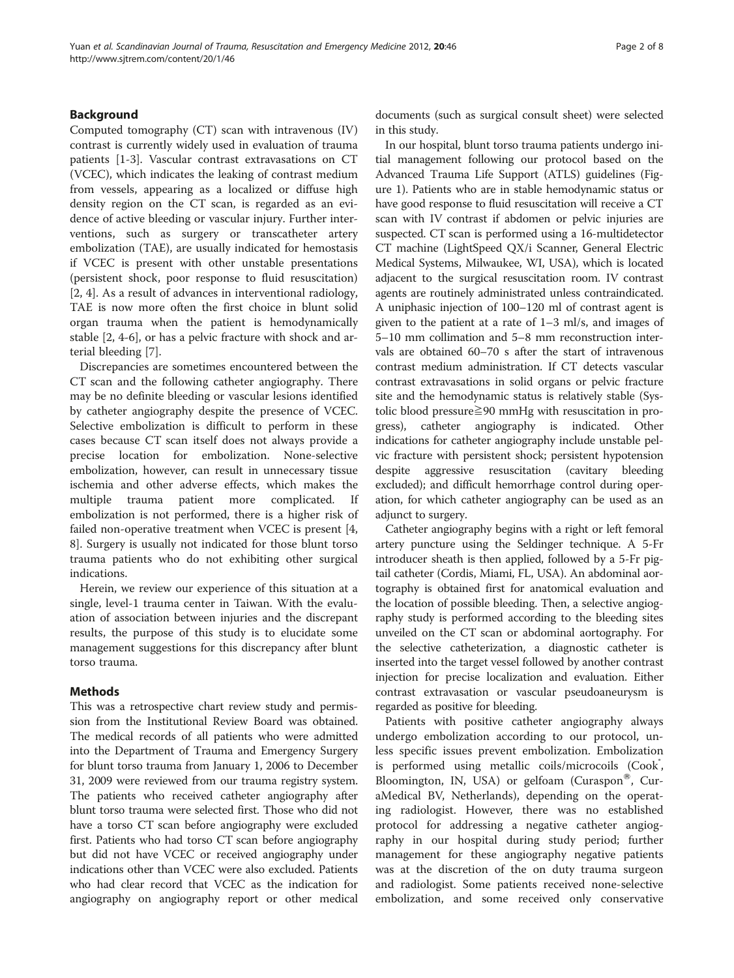# Background

Computed tomography (CT) scan with intravenous (IV) contrast is currently widely used in evaluation of trauma patients [\[1](#page-6-0)-[3](#page-6-0)]. Vascular contrast extravasations on CT (VCEC), which indicates the leaking of contrast medium from vessels, appearing as a localized or diffuse high density region on the CT scan, is regarded as an evidence of active bleeding or vascular injury. Further interventions, such as surgery or transcatheter artery embolization (TAE), are usually indicated for hemostasis if VCEC is present with other unstable presentations (persistent shock, poor response to fluid resuscitation) [[2, 4\]](#page-6-0). As a result of advances in interventional radiology, TAE is now more often the first choice in blunt solid organ trauma when the patient is hemodynamically stable [\[2](#page-6-0), [4-6](#page-6-0)], or has a pelvic fracture with shock and arterial bleeding [[7\]](#page-6-0).

Discrepancies are sometimes encountered between the CT scan and the following catheter angiography. There may be no definite bleeding or vascular lesions identified by catheter angiography despite the presence of VCEC. Selective embolization is difficult to perform in these cases because CT scan itself does not always provide a precise location for embolization. None-selective embolization, however, can result in unnecessary tissue ischemia and other adverse effects, which makes the multiple trauma patient more complicated. If embolization is not performed, there is a higher risk of failed non-operative treatment when VCEC is present [\[4](#page-6-0), [8\]](#page-6-0). Surgery is usually not indicated for those blunt torso trauma patients who do not exhibiting other surgical indications.

Herein, we review our experience of this situation at a single, level-1 trauma center in Taiwan. With the evaluation of association between injuries and the discrepant results, the purpose of this study is to elucidate some management suggestions for this discrepancy after blunt torso trauma.

# Methods

This was a retrospective chart review study and permission from the Institutional Review Board was obtained. The medical records of all patients who were admitted into the Department of Trauma and Emergency Surgery for blunt torso trauma from January 1, 2006 to December 31, 2009 were reviewed from our trauma registry system. The patients who received catheter angiography after blunt torso trauma were selected first. Those who did not have a torso CT scan before angiography were excluded first. Patients who had torso CT scan before angiography but did not have VCEC or received angiography under indications other than VCEC were also excluded. Patients who had clear record that VCEC as the indication for angiography on angiography report or other medical documents (such as surgical consult sheet) were selected in this study.

In our hospital, blunt torso trauma patients undergo initial management following our protocol based on the Advanced Trauma Life Support (ATLS) guidelines (Figure [1](#page-2-0)). Patients who are in stable hemodynamic status or have good response to fluid resuscitation will receive a CT scan with IV contrast if abdomen or pelvic injuries are suspected. CT scan is performed using a 16-multidetector CT machine (LightSpeed QX/i Scanner, General Electric Medical Systems, Milwaukee, WI, USA), which is located adjacent to the surgical resuscitation room. IV contrast agents are routinely administrated unless contraindicated. A uniphasic injection of 100–120 ml of contrast agent is given to the patient at a rate of 1–3 ml/s, and images of 5–10 mm collimation and 5–8 mm reconstruction intervals are obtained 60–70 s after the start of intravenous contrast medium administration. If CT detects vascular contrast extravasations in solid organs or pelvic fracture site and the hemodynamic status is relatively stable (Systolic blood pressure≧90 mmHg with resuscitation in progress), catheter angiography is indicated. Other indications for catheter angiography include unstable pelvic fracture with persistent shock; persistent hypotension despite aggressive resuscitation (cavitary bleeding excluded); and difficult hemorrhage control during operation, for which catheter angiography can be used as an adjunct to surgery.

Catheter angiography begins with a right or left femoral artery puncture using the Seldinger technique. A 5-Fr introducer sheath is then applied, followed by a 5-Fr pigtail catheter (Cordis, Miami, FL, USA). An abdominal aortography is obtained first for anatomical evaluation and the location of possible bleeding. Then, a selective angiography study is performed according to the bleeding sites unveiled on the CT scan or abdominal aortography. For the selective catheterization, a diagnostic catheter is inserted into the target vessel followed by another contrast injection for precise localization and evaluation. Either contrast extravasation or vascular pseudoaneurysm is regarded as positive for bleeding.

Patients with positive catheter angiography always undergo embolization according to our protocol, unless specific issues prevent embolization. Embolization is performed using metallic coils/microcoils (Cook<sup>®</sup>, Bloomington, IN, USA) or gelfoam (Curaspon<sup>®</sup>, CuraMedical BV, Netherlands), depending on the operating radiologist. However, there was no established protocol for addressing a negative catheter angiography in our hospital during study period; further management for these angiography negative patients was at the discretion of the on duty trauma surgeon and radiologist. Some patients received none-selective embolization, and some received only conservative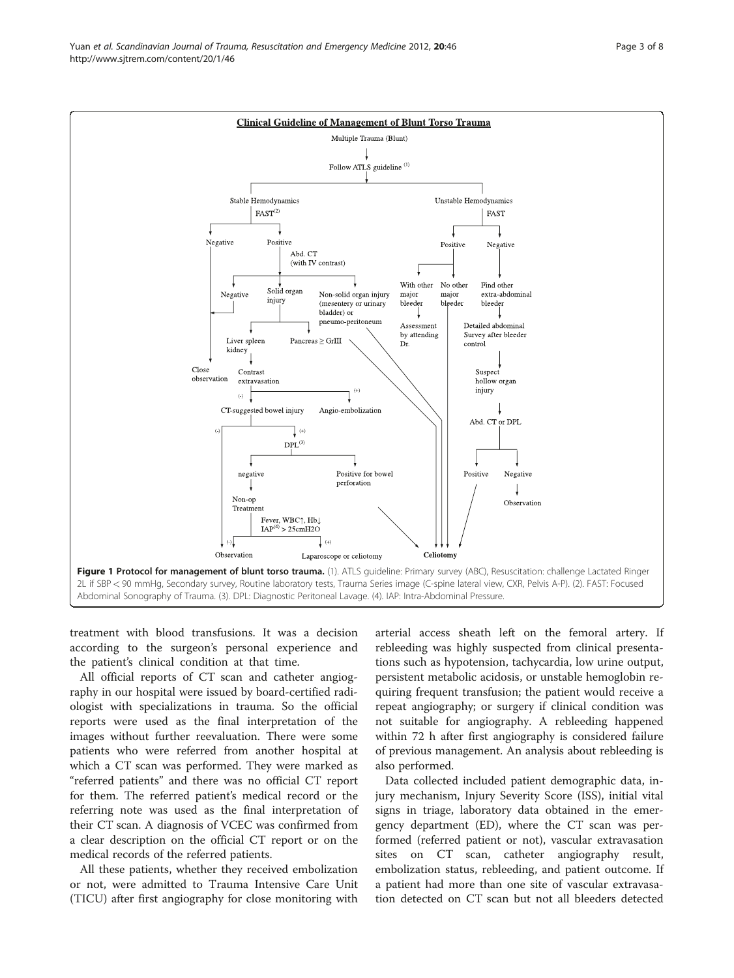<span id="page-2-0"></span>

treatment with blood transfusions. It was a decision according to the surgeon's personal experience and the patient's clinical condition at that time.

All official reports of CT scan and catheter angiography in our hospital were issued by board-certified radiologist with specializations in trauma. So the official reports were used as the final interpretation of the images without further reevaluation. There were some patients who were referred from another hospital at which a CT scan was performed. They were marked as "referred patients" and there was no official CT report for them. The referred patient's medical record or the referring note was used as the final interpretation of their CT scan. A diagnosis of VCEC was confirmed from a clear description on the official CT report or on the medical records of the referred patients.

All these patients, whether they received embolization or not, were admitted to Trauma Intensive Care Unit (TICU) after first angiography for close monitoring with arterial access sheath left on the femoral artery. If rebleeding was highly suspected from clinical presentations such as hypotension, tachycardia, low urine output, persistent metabolic acidosis, or unstable hemoglobin requiring frequent transfusion; the patient would receive a repeat angiography; or surgery if clinical condition was not suitable for angiography. A rebleeding happened within 72 h after first angiography is considered failure of previous management. An analysis about rebleeding is also performed.

Data collected included patient demographic data, injury mechanism, Injury Severity Score (ISS), initial vital signs in triage, laboratory data obtained in the emergency department (ED), where the CT scan was performed (referred patient or not), vascular extravasation sites on CT scan, catheter angiography result, embolization status, rebleeding, and patient outcome. If a patient had more than one site of vascular extravasation detected on CT scan but not all bleeders detected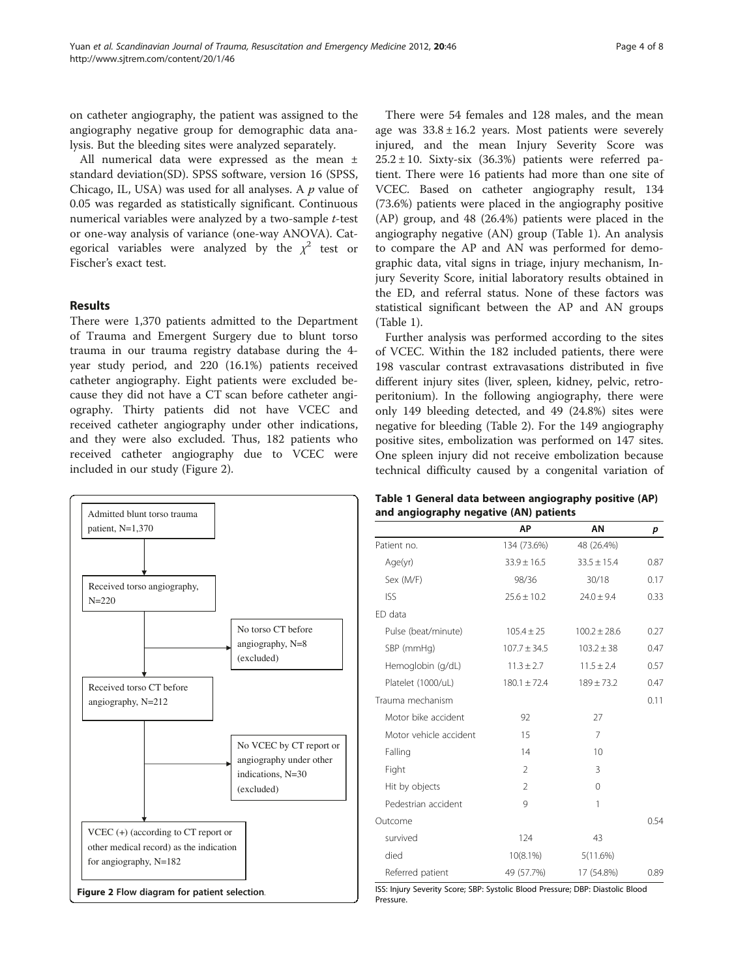<span id="page-3-0"></span>on catheter angiography, the patient was assigned to the angiography negative group for demographic data analysis. But the bleeding sites were analyzed separately.

All numerical data were expressed as the mean ± standard deviation(SD). SPSS software, version 16 (SPSS, Chicago, IL, USA) was used for all analyses. A  $p$  value of 0.05 was regarded as statistically significant. Continuous numerical variables were analyzed by a two-sample t-test or one-way analysis of variance (one-way ANOVA). Categorical variables were analyzed by the  $\chi^2$  test or Fischer's exact test.

# Results

There were 1,370 patients admitted to the Department of Trauma and Emergent Surgery due to blunt torso trauma in our trauma registry database during the 4 year study period, and 220 (16.1%) patients received catheter angiography. Eight patients were excluded because they did not have a CT scan before catheter angiography. Thirty patients did not have VCEC and received catheter angiography under other indications, and they were also excluded. Thus, 182 patients who received catheter angiography due to VCEC were included in our study (Figure 2).



There were 54 females and 128 males, and the mean age was  $33.8 \pm 16.2$  years. Most patients were severely injured, and the mean Injury Severity Score was  $25.2 \pm 10$ . Sixty-six (36.3%) patients were referred patient. There were 16 patients had more than one site of VCEC. Based on catheter angiography result, 134 (73.6%) patients were placed in the angiography positive (AP) group, and 48 (26.4%) patients were placed in the angiography negative (AN) group (Table 1). An analysis to compare the AP and AN was performed for demographic data, vital signs in triage, injury mechanism, Injury Severity Score, initial laboratory results obtained in the ED, and referral status. None of these factors was statistical significant between the AP and AN groups (Table 1).

Further analysis was performed according to the sites of VCEC. Within the 182 included patients, there were 198 vascular contrast extravasations distributed in five different injury sites (liver, spleen, kidney, pelvic, retroperitonium). In the following angiography, there were only 149 bleeding detected, and 49 (24.8%) sites were negative for bleeding (Table [2](#page-4-0)). For the 149 angiography positive sites, embolization was performed on 147 sites. One spleen injury did not receive embolization because technical difficulty caused by a congenital variation of

|  |  | Table 1 General data between angiography positive (AP) |  |
|--|--|--------------------------------------------------------|--|
|  |  | and angiography negative (AN) patients                 |  |

|                        | AP               | AN               | р    |
|------------------------|------------------|------------------|------|
| Patient no.            | 134 (73.6%)      | 48 (26.4%)       |      |
| Age(yr)                | $33.9 \pm 16.5$  | $33.5 \pm 15.4$  | 0.87 |
| Sex (M/F)              | 98/36            | 30/18            | 0.17 |
| <b>ISS</b>             | $25.6 \pm 10.2$  | $24.0 \pm 9.4$   | 0.33 |
| ED data                |                  |                  |      |
| Pulse (beat/minute)    | $105.4 \pm 25$   | $100.2 \pm 28.6$ | 0.27 |
| SBP (mmHg)             | $107.7 \pm 34.5$ | $103.2 \pm 38$   | 0.47 |
| Hemoglobin (g/dL)      | $11.3 \pm 2.7$   | $11.5 \pm 2.4$   | 0.57 |
| Platelet (1000/uL)     | $180.1 \pm 72.4$ | $189 \pm 73.2$   | 0.47 |
| Trauma mechanism       |                  |                  | 0.11 |
| Motor bike accident    | 92               | 27               |      |
| Motor vehicle accident | 15               | $\overline{7}$   |      |
| Falling                | 14               | 10               |      |
| Fight                  | $\overline{2}$   | 3                |      |
| Hit by objects         | $\overline{2}$   | $\Omega$         |      |
| Pedestrian accident    | 9                | 1                |      |
| Outcome                |                  |                  | 0.54 |
| survived               | 124              | 43               |      |
| died                   | $10(8.1\%)$      | 5(11.6%)         |      |
| Referred patient       | 49 (57.7%)       | 17 (54.8%)       | 0.89 |

ISS: Injury Severity Score; SBP: Systolic Blood Pressure; DBP: Diastolic Blood Pressure.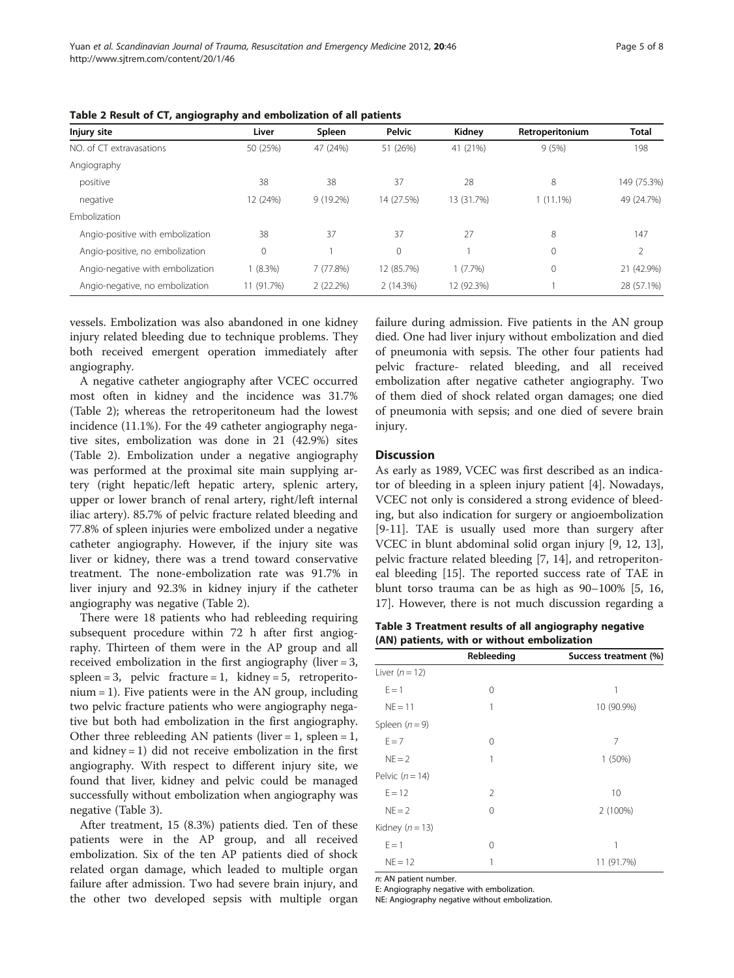| Injury site                      | Liver      | Spleen    | Pelvic     | Kidney     | Retroperitonium | <b>Total</b> |
|----------------------------------|------------|-----------|------------|------------|-----------------|--------------|
| NO. of CT extravasations         | 50 (25%)   | 47 (24%)  | 51 (26%)   | 41 (21%)   | 9(5%)           | 198          |
| Angiography                      |            |           |            |            |                 |              |
| positive                         | 38         | 38        | 37         | 28         | 8               | 149 (75.3%)  |
| negative                         | 12 (24%)   | 9 (19.2%) | 14 (27.5%) | 13 (31.7%) | $1(11.1\%)$     | 49 (24.7%)   |
| <b>Embolization</b>              |            |           |            |            |                 |              |
| Angio-positive with embolization | 38         | 37        | 37         | 27         | 8               | 147          |
| Angio-positive, no embolization  | 0          |           | 0          |            |                 |              |
| Angio-negative with embolization | 1(8.3%)    | 7 (77.8%) | 12 (85.7%) | $(7.7\%)$  | $\Omega$        | 21 (42.9%)   |
| Angio-negative, no embolization  | 11 (91.7%) | 2(22.2%)  | 2(14.3%)   | 12 (92.3%) |                 | 28 (57.1%)   |

<span id="page-4-0"></span>Table 2 Result of CT, angiography and embolization of all patients

vessels. Embolization was also abandoned in one kidney injury related bleeding due to technique problems. They both received emergent operation immediately after angiography.

A negative catheter angiography after VCEC occurred most often in kidney and the incidence was 31.7% (Table 2); whereas the retroperitoneum had the lowest incidence (11.1%). For the 49 catheter angiography negative sites, embolization was done in 21 (42.9%) sites (Table 2). Embolization under a negative angiography was performed at the proximal site main supplying artery (right hepatic/left hepatic artery, splenic artery, upper or lower branch of renal artery, right/left internal iliac artery). 85.7% of pelvic fracture related bleeding and 77.8% of spleen injuries were embolized under a negative catheter angiography. However, if the injury site was liver or kidney, there was a trend toward conservative treatment. The none-embolization rate was 91.7% in liver injury and 92.3% in kidney injury if the catheter angiography was negative (Table 2).

There were 18 patients who had rebleeding requiring subsequent procedure within 72 h after first angiography. Thirteen of them were in the AP group and all received embolization in the first angiography (liver  $= 3$ , spleen = 3, pelvic fracture = 1, kidney = 5, retroperitonium = 1). Five patients were in the AN group, including two pelvic fracture patients who were angiography negative but both had embolization in the first angiography. Other three rebleeding AN patients (liver = 1, spleen = 1, and kidney = 1) did not receive embolization in the first angiography. With respect to different injury site, we found that liver, kidney and pelvic could be managed successfully without embolization when angiography was negative (Table 3).

After treatment, 15 (8.3%) patients died. Ten of these patients were in the AP group, and all received embolization. Six of the ten AP patients died of shock related organ damage, which leaded to multiple organ failure after admission. Two had severe brain injury, and the other two developed sepsis with multiple organ

failure during admission. Five patients in the AN group died. One had liver injury without embolization and died of pneumonia with sepsis. The other four patients had pelvic fracture- related bleeding, and all received embolization after negative catheter angiography. Two of them died of shock related organ damages; one died of pneumonia with sepsis; and one died of severe brain injury.

## **Discussion**

As early as 1989, VCEC was first described as an indicator of bleeding in a spleen injury patient [[4\]](#page-6-0). Nowadays, VCEC not only is considered a strong evidence of bleeding, but also indication for surgery or angioembolization [[9](#page-6-0)[-11](#page-7-0)]. TAE is usually used more than surgery after VCEC in blunt abdominal solid organ injury [\[9](#page-6-0), [12, 13](#page-7-0)], pelvic fracture related bleeding [[7](#page-6-0), [14\]](#page-7-0), and retroperitoneal bleeding [\[15](#page-7-0)]. The reported success rate of TAE in blunt torso trauma can be as high as 90–100% [\[5](#page-6-0), [16](#page-7-0), [17\]](#page-7-0). However, there is not much discussion regarding a

Table 3 Treatment results of all angiography negative (AN) patients, with or without embolization

|                     | Rebleeding    | Success treatment (%) |
|---------------------|---------------|-----------------------|
| Liver $(n=12)$      |               |                       |
| $E = 1$             | $\Omega$      | 1                     |
| $NE = 11$           | 1             | 10 (90.9%)            |
| Spleen $(n=9)$      |               |                       |
| $F = 7$             | 0             | 7                     |
| $NE = 2$            | 1             | 1(50%)                |
| Pelvic $(n = 14)$   |               |                       |
| $E = 12$            | $\mathcal{P}$ | 10                    |
| $NE = 2$            | $\Omega$      | 2(100%)               |
| Kidney ( $n = 13$ ) |               |                       |
| $F = 1$             | 0             | 1                     |
| $NE = 12$           | 1             | 11 (91.7%)            |

n: AN patient number.

E: Angiography negative with embolization.

NE: Angiography negative without embolization.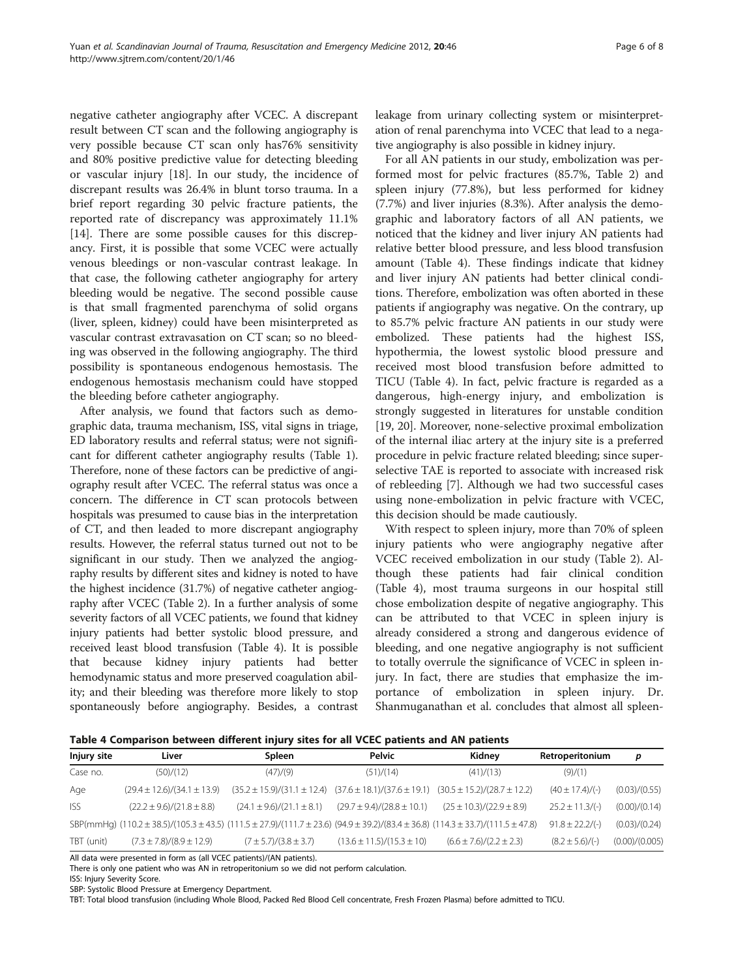negative catheter angiography after VCEC. A discrepant result between CT scan and the following angiography is very possible because CT scan only has76% sensitivity and 80% positive predictive value for detecting bleeding or vascular injury [\[18](#page-7-0)]. In our study, the incidence of discrepant results was 26.4% in blunt torso trauma. In a brief report regarding 30 pelvic fracture patients, the reported rate of discrepancy was approximately 11.1% [[14\]](#page-7-0). There are some possible causes for this discrepancy. First, it is possible that some VCEC were actually venous bleedings or non-vascular contrast leakage. In that case, the following catheter angiography for artery bleeding would be negative. The second possible cause is that small fragmented parenchyma of solid organs (liver, spleen, kidney) could have been misinterpreted as vascular contrast extravasation on CT scan; so no bleeding was observed in the following angiography. The third possibility is spontaneous endogenous hemostasis. The endogenous hemostasis mechanism could have stopped the bleeding before catheter angiography.

After analysis, we found that factors such as demographic data, trauma mechanism, ISS, vital signs in triage, ED laboratory results and referral status; were not significant for different catheter angiography results (Table [1](#page-3-0)). Therefore, none of these factors can be predictive of angiography result after VCEC. The referral status was once a concern. The difference in CT scan protocols between hospitals was presumed to cause bias in the interpretation of CT, and then leaded to more discrepant angiography results. However, the referral status turned out not to be significant in our study. Then we analyzed the angiography results by different sites and kidney is noted to have the highest incidence (31.7%) of negative catheter angiography after VCEC (Table [2](#page-4-0)). In a further analysis of some severity factors of all VCEC patients, we found that kidney injury patients had better systolic blood pressure, and received least blood transfusion (Table 4). It is possible that because kidney injury patients had better hemodynamic status and more preserved coagulation ability; and their bleeding was therefore more likely to stop spontaneously before angiography. Besides, a contrast leakage from urinary collecting system or misinterpretation of renal parenchyma into VCEC that lead to a negative angiography is also possible in kidney injury.

For all AN patients in our study, embolization was performed most for pelvic fractures (85.7%, Table [2](#page-4-0)) and spleen injury (77.8%), but less performed for kidney (7.7%) and liver injuries (8.3%). After analysis the demographic and laboratory factors of all AN patients, we noticed that the kidney and liver injury AN patients had relative better blood pressure, and less blood transfusion amount (Table 4). These findings indicate that kidney and liver injury AN patients had better clinical conditions. Therefore, embolization was often aborted in these patients if angiography was negative. On the contrary, up to 85.7% pelvic fracture AN patients in our study were embolized. These patients had the highest ISS, hypothermia, the lowest systolic blood pressure and received most blood transfusion before admitted to TICU (Table 4). In fact, pelvic fracture is regarded as a dangerous, high-energy injury, and embolization is strongly suggested in literatures for unstable condition [[19, 20\]](#page-7-0). Moreover, none-selective proximal embolization of the internal iliac artery at the injury site is a preferred procedure in pelvic fracture related bleeding; since superselective TAE is reported to associate with increased risk of rebleeding [\[7](#page-6-0)]. Although we had two successful cases using none-embolization in pelvic fracture with VCEC, this decision should be made cautiously.

With respect to spleen injury, more than 70% of spleen injury patients who were angiography negative after VCEC received embolization in our study (Table [2\)](#page-4-0). Although these patients had fair clinical condition (Table 4), most trauma surgeons in our hospital still chose embolization despite of negative angiography. This can be attributed to that VCEC in spleen injury is already considered a strong and dangerous evidence of bleeding, and one negative angiography is not sufficient to totally overrule the significance of VCEC in spleen injury. In fact, there are studies that emphasize the importance of embolization in spleen injury. Dr. Shanmuganathan et al. concludes that almost all spleen-

Table 4 Comparison between different injury sites for all VCEC patients and AN patients

| Injury site | Liver                                                                                                                                                   | Spleen                          | Pelvic                           | Kidney                                                                                                | Retroperitonium     | p              |  |  |
|-------------|---------------------------------------------------------------------------------------------------------------------------------------------------------|---------------------------------|----------------------------------|-------------------------------------------------------------------------------------------------------|---------------------|----------------|--|--|
| Case no.    | (50)/(12)                                                                                                                                               | (47)/(9)                        | (51)/(14)                        | (41)/(13)                                                                                             | (9)/(1)             |                |  |  |
| Age         | $(29.4 \pm 12.6)/(34.1 \pm 13.9)$                                                                                                                       |                                 |                                  | $(35.2 \pm 15.9)/(31.1 \pm 12.4)$ $(37.6 \pm 18.1)/(37.6 \pm 19.1)$ $(30.5 \pm 15.2)/(28.7 \pm 12.2)$ | $(40 \pm 17.4)/(-)$ | (0.03)/(0.55)  |  |  |
| <b>ISS</b>  | $(22.2 \pm 9.6)/(21.8 \pm 8.8)$                                                                                                                         | $(24.1 \pm 9.6)/(21.1 \pm 8.1)$ | $(29.7 \pm 9.4)/(28.8 \pm 10.1)$ | $(25 \pm 10.3)/(22.9 \pm 8.9)$                                                                        | $25.2 \pm 11.3/(-)$ | (0.00)/(0.14)  |  |  |
|             | SBP(mmHg) $(110.2 \pm 38.5)/(105.3 \pm 43.5)$ $(111.5 \pm 27.9)/(111.7 \pm 23.6)$ $(94.9 \pm 39.2)/(83.4 \pm 36.8)$ $(114.3 \pm 33.7)/(111.5 \pm 47.8)$ |                                 |                                  |                                                                                                       | $91.8 \pm 22.2/(-)$ | (0.03)/(0.24)  |  |  |
| TBT (unit)  | $(7.3 \pm 7.8)/(8.9 \pm 12.9)$                                                                                                                          | $(7 \pm 5.7)/(3.8 \pm 3.7)$     | $(13.6 \pm 11.5)/(15.3 \pm 10)$  | $(6.6 \pm 7.6)/(2.2 \pm 2.3)$                                                                         | $(8.2 \pm 5.6)/(-)$ | (0.00)/(0.005) |  |  |

All data were presented in form as (all VCEC patients)/(AN patients).

There is only one patient who was AN in retroperitonium so we did not perform calculation.

ISS: Injury Severity Score.

SBP: Systolic Blood Pressure at Emergency Department.

TBT: Total blood transfusion (including Whole Blood, Packed Red Blood Cell concentrate, Fresh Frozen Plasma) before admitted to TICU.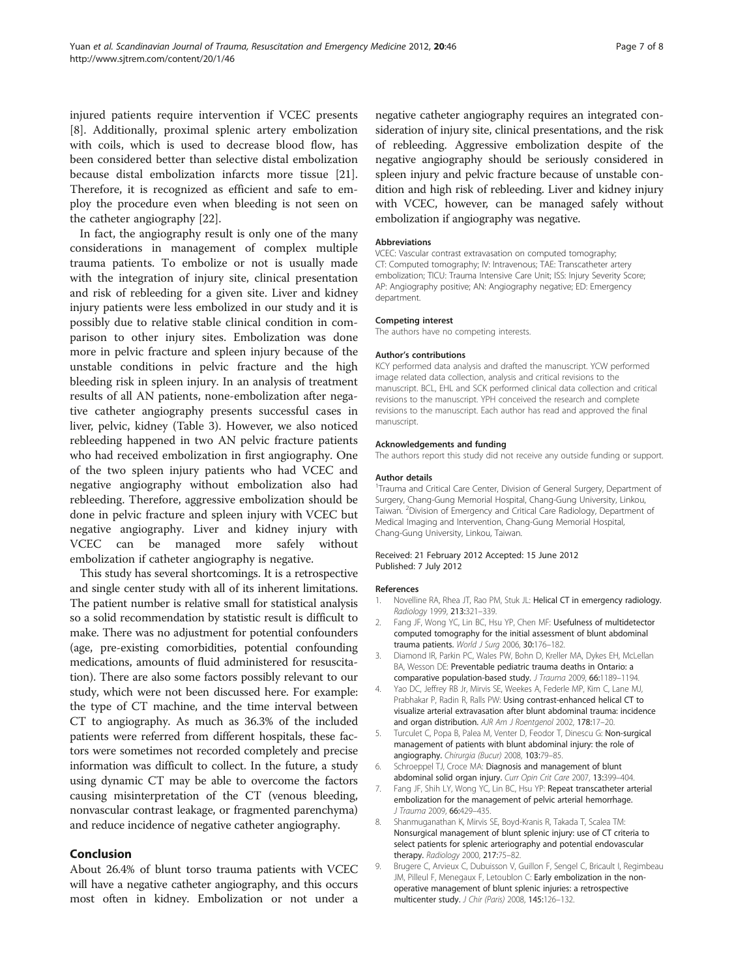<span id="page-6-0"></span>injured patients require intervention if VCEC presents [8]. Additionally, proximal splenic artery embolization with coils, which is used to decrease blood flow, has been considered better than selective distal embolization because distal embolization infarcts more tissue [\[21](#page-7-0)]. Therefore, it is recognized as efficient and safe to employ the procedure even when bleeding is not seen on the catheter angiography [[22](#page-7-0)].

In fact, the angiography result is only one of the many considerations in management of complex multiple trauma patients. To embolize or not is usually made with the integration of injury site, clinical presentation and risk of rebleeding for a given site. Liver and kidney injury patients were less embolized in our study and it is possibly due to relative stable clinical condition in comparison to other injury sites. Embolization was done more in pelvic fracture and spleen injury because of the unstable conditions in pelvic fracture and the high bleeding risk in spleen injury. In an analysis of treatment results of all AN patients, none-embolization after negative catheter angiography presents successful cases in liver, pelvic, kidney (Table [3](#page-4-0)). However, we also noticed rebleeding happened in two AN pelvic fracture patients who had received embolization in first angiography. One of the two spleen injury patients who had VCEC and negative angiography without embolization also had rebleeding. Therefore, aggressive embolization should be done in pelvic fracture and spleen injury with VCEC but negative angiography. Liver and kidney injury with VCEC can be managed more safely without embolization if catheter angiography is negative.

This study has several shortcomings. It is a retrospective and single center study with all of its inherent limitations. The patient number is relative small for statistical analysis so a solid recommendation by statistic result is difficult to make. There was no adjustment for potential confounders (age, pre-existing comorbidities, potential confounding medications, amounts of fluid administered for resuscitation). There are also some factors possibly relevant to our study, which were not been discussed here. For example: the type of CT machine, and the time interval between CT to angiography. As much as 36.3% of the included patients were referred from different hospitals, these factors were sometimes not recorded completely and precise information was difficult to collect. In the future, a study using dynamic CT may be able to overcome the factors causing misinterpretation of the CT (venous bleeding, nonvascular contrast leakage, or fragmented parenchyma) and reduce incidence of negative catheter angiography.

# Conclusion

About 26.4% of blunt torso trauma patients with VCEC will have a negative catheter angiography, and this occurs most often in kidney. Embolization or not under a negative catheter angiography requires an integrated consideration of injury site, clinical presentations, and the risk of rebleeding. Aggressive embolization despite of the negative angiography should be seriously considered in spleen injury and pelvic fracture because of unstable condition and high risk of rebleeding. Liver and kidney injury with VCEC, however, can be managed safely without embolization if angiography was negative.

#### Abbreviations

VCEC: Vascular contrast extravasation on computed tomography; CT: Computed tomography; IV: Intravenous; TAE: Transcatheter artery embolization; TICU: Trauma Intensive Care Unit; ISS: Injury Severity Score; AP: Angiography positive; AN: Angiography negative; ED: Emergency department.

#### Competing interest

The authors have no competing interests.

#### Author's contributions

KCY performed data analysis and drafted the manuscript. YCW performed image related data collection, analysis and critical revisions to the manuscript. BCL, EHL and SCK performed clinical data collection and critical revisions to the manuscript. YPH conceived the research and complete revisions to the manuscript. Each author has read and approved the final manuscript.

#### Acknowledgements and funding

The authors report this study did not receive any outside funding or support.

#### Author details

<sup>1</sup>Trauma and Critical Care Center, Division of General Surgery, Department of Surgery, Chang-Gung Memorial Hospital, Chang-Gung University, Linkou, Taiwan. <sup>2</sup> Division of Emergency and Critical Care Radiology, Department of Medical Imaging and Intervention, Chang-Gung Memorial Hospital, Chang-Gung University, Linkou, Taiwan.

#### Received: 21 February 2012 Accepted: 15 June 2012 Published: 7 July 2012

#### References

- 1. Novelline RA, Rhea JT, Rao PM, Stuk JL: Helical CT in emergency radiology. Radiology 1999, 213:321–339.
- 2. Fang JF, Wong YC, Lin BC, Hsu YP, Chen MF: Usefulness of multidetector computed tomography for the initial assessment of blunt abdominal trauma patients. World J Surg 2006, 30:176–182.
- 3. Diamond IR, Parkin PC, Wales PW, Bohn D, Kreller MA, Dykes EH, McLellan BA, Wesson DE: Preventable pediatric trauma deaths in Ontario: a comparative population-based study. J Trauma 2009, 66:1189-1194.
- 4. Yao DC, Jeffrey RB Jr, Mirvis SE, Weekes A, Federle MP, Kim C, Lane MJ, Prabhakar P, Radin R, Ralls PW: Using contrast-enhanced helical CT to visualize arterial extravasation after blunt abdominal trauma: incidence and organ distribution. AJR Am J Roentgenol 2002, 178:17–20.
- 5. Turculet C, Popa B, Palea M, Venter D, Feodor T, Dinescu G: Non-surgical management of patients with blunt abdominal injury: the role of angiography. Chirurgia (Bucur) 2008, 103:79-85.
- 6. Schroeppel TJ, Croce MA: Diagnosis and management of blunt abdominal solid organ injury. Curr Opin Crit Care 2007, 13:399-404
- 7. Fang JF, Shih LY, Wong YC, Lin BC, Hsu YP: Repeat transcatheter arterial embolization for the management of pelvic arterial hemorrhage. J Trauma 2009, 66:429–435.
- 8. Shanmuganathan K, Mirvis SE, Boyd-Kranis R, Takada T, Scalea TM: Nonsurgical management of blunt splenic injury: use of CT criteria to select patients for splenic arteriography and potential endovascular therapy. Radiology 2000, 217:75–82.
- 9. Brugere C, Arvieux C, Dubuisson V, Guillon F, Sengel C, Bricault I, Regimbeau JM, Pilleul F, Menegaux F, Letoublon C: Early embolization in the nonoperative management of blunt splenic injuries: a retrospective multicenter study. J Chir (Paris) 2008, 145:126–132.